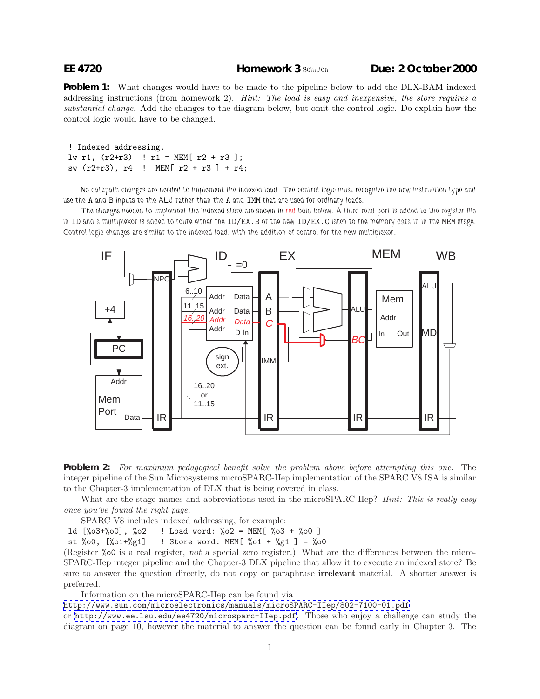**Problem 1:** What changes would have to be made to the pipeline below to add the DLX-BAM indexed addressing instructions (from homework 2). *Hint: The load is easy and inexpensive, the store requires a substantial change.* Add the changes to the diagram below, but omit the control logic. Do explain how the control logic would have to be changed.

```
! Indexed addressing.
lw r1, (r2+r3) ! r1 = MEM[ r2 + r3];
sw (r2+r3), r4 ! MEM[ r2 + r3 ] + r4;
```
*No datapath changes are needed to implement the indexed load. The control logic must recognize the new instruction type and use the* A *and* B *inputs to the ALU rather than the* A *and* IMM *that are used for ordinary loads.*

*The changes needed to implement the indexed store are shown in red bold below. A third read port is added to the register file in* ID and a multiplexor is added to route either the ID/EX.B or the new ID/EX.C latch to the memory data in in the MEM stage. *Control logic changes are similar to the indexed load, with the addition of control for the new multiplexor.*





What are the stage names and abbreviations used in the microSPARC-IIep? *Hint: This is really easy once you've found the right page.*

SPARC V8 includes indexed addressing, for example:

ld [%o3+%o0], %o2 ! Load word: %o2 = MEM[ %o3 + %o0 ]

st %00,  $[\%01+\%g1]$  ! Store word: MEM[ %01 + %g1 ] = %00

(Register %o0 is a real register, not a special zero register.) What are the differences between the micro-SPARC-IIep integer pipeline and the Chapter-3 DLX pipeline that allow it to execute an indexed store? Be sure to answer the question directly, do not copy or paraphrase **irrelevant** material. A shorter answer is preferred.

Information on the microSPARC-IIep can be found via

<http://www.sun.com/microelectronics/manuals/microSPARC-IIep/802-7100-01.pdf>

or <http://www.ee.lsu.edu/ee4720/microsparc-IIep.pdf>. Those who enjoy a challenge can study the diagram on page 10, however the material to answer the question can be found early in Chapter 3. The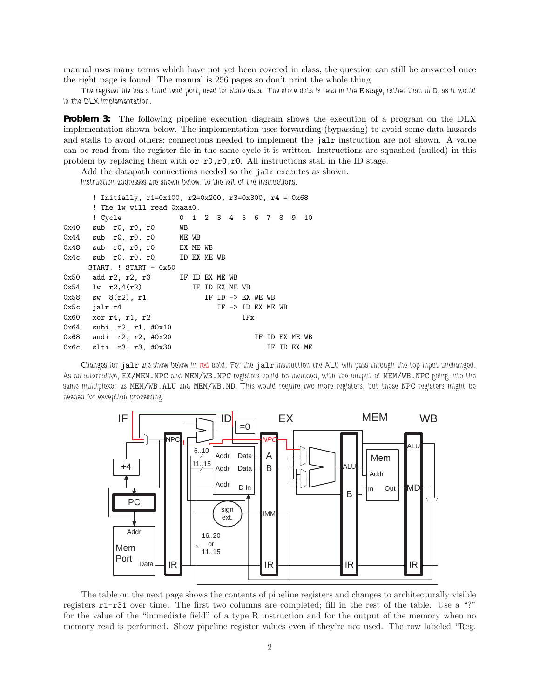manual uses many terms which have not yet been covered in class, the question can still be answered once the right page is found. The manual is 256 pages so don't print the whole thing.

*The register file has a third read port, used for store data. The store data is read in the* E *stage, rather than in* D*, as it would in the DLX implementation.*

**Problem 3:** The following pipeline execution diagram shows the execution of a program on the DLX implementation shown below. The implementation uses forwarding (bypassing) to avoid some data hazards and stalls to avoid others; connections needed to implement the jalr instruction are not shown. A value can be read from the register file in the same cycle it is written. Instructions are squashed (nulled) in this problem by replacing them with or  $r0, r0, r0$ . All instructions stall in the ID stage.

Add the datapath connections needed so the jalr executes as shown.

*Instruction addresses are shown below, to the left of the instructions.*

|      | ! Initially, $r1=0x100$ , $r2=0x200$ , $r3=0x300$ , $r4 = 0x68$ |    |                        |                              |     |  |                              |  |             |  |  |
|------|-----------------------------------------------------------------|----|------------------------|------------------------------|-----|--|------------------------------|--|-------------|--|--|
|      | ! The lw will read Oxaaa0.                                      |    |                        |                              |     |  |                              |  |             |  |  |
|      | ! Cycle                                                         |    | 0 1 2 3 4 5 6 7 8 9 10 |                              |     |  |                              |  |             |  |  |
|      | 0x40 sub r0, r0, r0                                             | WB |                        |                              |     |  |                              |  |             |  |  |
|      | $0x44$ sub r0, r0, r0 ME WB                                     |    |                        |                              |     |  |                              |  |             |  |  |
|      | $0x48$ sub $r0, r0, r0$ EXMEWB                                  |    |                        |                              |     |  |                              |  |             |  |  |
|      | 0x4c sub r0, r0, r0 ID EX ME WB                                 |    |                        |                              |     |  |                              |  |             |  |  |
|      | $STATE:$ ! START = $0x50$                                       |    |                        |                              |     |  |                              |  |             |  |  |
|      | $0x50$ add $r2$ , $r2$ , $r3$ IF ID EX ME WB                    |    |                        |                              |     |  |                              |  |             |  |  |
|      | $0x54$ lw $r2,4(r2)$                                            |    | IF ID EX ME WB         |                              |     |  |                              |  |             |  |  |
|      | $0x58$ sw $8(r2)$ , r1                                          |    |                        | IF ID $\rightarrow$ EX WE WB |     |  |                              |  |             |  |  |
| 0x5c | jalr r4                                                         |    |                        |                              |     |  | IF $\rightarrow$ ID EX ME WB |  |             |  |  |
| 0x60 | xor r4, r1, r2                                                  |    |                        |                              | IFx |  |                              |  |             |  |  |
|      | 0x64 subi r2, r1, #0x10                                         |    |                        |                              |     |  |                              |  |             |  |  |
|      | $0x68$ andi r2, r2, #0x20                                       |    |                        |                              |     |  | IF ID EX ME WB               |  |             |  |  |
|      | 0x6c slti r3, r3, #0x30                                         |    |                        |                              |     |  |                              |  | IF ID EX ME |  |  |

*Changes for* jalr *are show below in red bold. For the* jalr *instruction the ALU will pass through the top input unchanged. As an alternative,* EX/MEM.NPC *and* MEM/WB.NPC *registers could be included, with the output of* MEM/WB.NPC *going into the same multiplexor as* MEM/WB.ALU *and* MEM/WB.MD*. This would require two more registers, but those* NPC *registers might be needed for exception processing.*



The table on the next page shows the contents of pipeline registers and changes to architecturally visible registers r1-r31 over time. The first two columns are completed; fill in the rest of the table. Use a "?" for the value of the "immediate field" of a type R instruction and for the output of the memory when no memory read is performed. Show pipeline register values even if they're not used. The row labeled "Reg.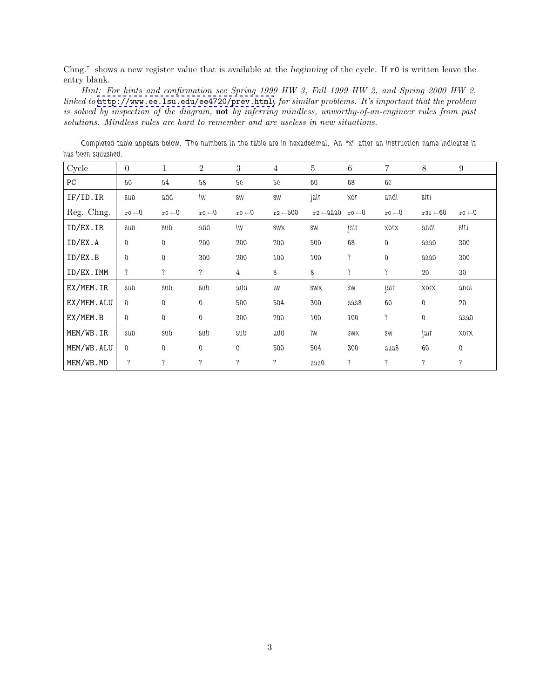Chng." shows a new register value that is available at the beginning of the cycle. If r0 is written leave the entry blank.

*Hint: For hints and confirmation see Spring 1999 HW 3, Fall 1999 HW 2, and Spring 2000 HW 2, linked to* <http://www.ee.lsu.edu/ee4720/prev.html>*, for similar problems. It's important that the problem is solved by inspection of the diagram,* **not** *by inferring mindless, unworthy-of-an-engineer rules from past solutions. Mindless rules are hard to remember and are useless in new situations.*

*Completed table appears below. The numbers in the table are in hexadecimal. An "x" after an instruction name indicates it has been squashed.*

| Cycle      | $\overline{0}$     | $\mathbf 1$       | $\overline{2}$     | $\boldsymbol{3}$  | 4                   | 5                   | 6                 | $\overline{7}$     | 8                   | 9                  |
|------------|--------------------|-------------------|--------------------|-------------------|---------------------|---------------------|-------------------|--------------------|---------------------|--------------------|
| PC         | 50                 | 54                | 58                 | 56                | 56                  | 60                  | 68                | 66                 |                     |                    |
| IF/ID. IR  | sub                | add               | IW                 | SW                | SW                  | jalr                | 10X               | andi               | slti                |                    |
| Reg. Chng. | $r0 \leftarrow 0$  | $r0 \leftarrow 0$ | $r0 \leftarrow 0$  | $r0 \leftarrow 0$ | $r2 \leftarrow 500$ | $r2 \leftarrow 220$ | $r0 \leftarrow 0$ | $r0 \leftarrow 0$  | $r31 \leftarrow 60$ | $r0 \leftarrow 0$  |
| ID/EX.IR   | sub                | sub               | add                | IW                | <b>SWX</b>          | SW                  | jalr              | <b>XOTX</b>        | andi                | slti               |
| ID/EX.A    | $\theta$           | $\overline{0}$    | 200                | 200               | 200                 | 500                 | 68                | $\mathbf 0$        | aaao                | 300                |
| ID/EX.B    | $\theta$           | $\mathbf 0$       | 300                | 200               | 100                 | 100                 | $\ddot{?}$        | $\mathbf 0$        | aaao                | 300                |
| ID/EX.IMM  | ?                  | $\ddot{?}$        | $\tilde{?}$        | $\overline{4}$    | 8                   | 8                   | ?                 | $\ddot{?}$         | 20                  | 30                 |
| EX/MEM.IR  | sub                | sub               | sub                | add               | IW                  | <b>SWX</b>          | SW                | jalr               | <b>XOLX</b>         | andi               |
| EX/MEM.ALU | $\Omega$           | $\mathbf 0$       | $\theta$           | 500               | 504                 | 300                 | aaa8              | 60                 | $\theta$            | 20                 |
| EX/MEM.B   | $\overline{0}$     | $\mathbf{0}$      | $\mathbf 0$        | 300               | 200                 | 100                 | 100               | $\ddot{?}$         | $\mathbf 0$         | aaao               |
| MEM/WB.IR  | sub                | sub               | sub                | sub               | add                 | <b>IW</b>           | <b>SWX</b>        | SW                 | jalr                | XOIX               |
| MEM/WB.ALU | $\theta$           | $\overline{0}$    | $\overline{0}$     | $\mathbf 0$       | 500                 | 504                 | 300               | aaa8               | 60                  | $\mathbf 0$        |
| MEM/WB.MD  | $\overline{\cdot}$ | $\ddot{?}$        | $\overline{\cdot}$ | $\ddot{?}$        | $\ddot{.}$          | aaa0                | ?                 | $\overline{\cdot}$ | $\ddot{?}$          | $\overline{\cdot}$ |